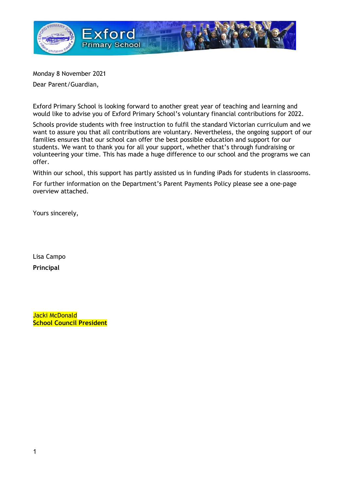

Monday 8 November 2021

Dear Parent/Guardian,

Exford Primary School is looking forward to another great year of teaching and learning and would like to advise you of Exford Primary School's voluntary financial contributions for 2022.

Schools provide students with free instruction to fulfil the standard Victorian curriculum and we want to assure you that all contributions are voluntary. Nevertheless, the ongoing support of our families ensures that our school can offer the best possible education and support for our students. We want to thank you for all your support, whether that's through fundraising or volunteering your time. This has made a huge difference to our school and the programs we can offer.

Within our school, this support has partly assisted us in funding iPads for students in classrooms.

For further information on the Department's Parent Payments Policy please see a one-page overview attached.

Yours sincerely,

Lisa Campo Principal

Jacki McDonald School Council President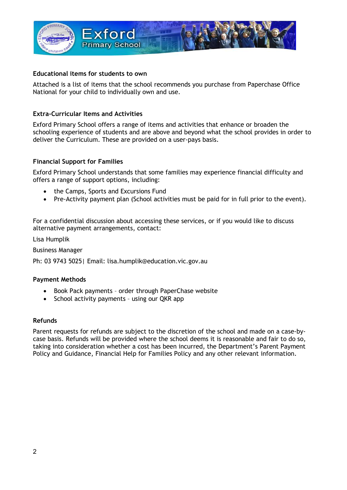

### Educational items for students to own

Attached is a list of items that the school recommends you purchase from Paperchase Office National for your child to individually own and use.

### Extra-Curricular Items and Activities

Exford Primary School offers a range of items and activities that enhance or broaden the schooling experience of students and are above and beyond what the school provides in order to deliver the Curriculum. These are provided on a user-pays basis.

### Financial Support for Families

Exford Primary School understands that some families may experience financial difficulty and offers a range of support options, including:

- the Camps, Sports and Excursions Fund
- Pre-Activity payment plan (School activities must be paid for in full prior to the event).

For a confidential discussion about accessing these services, or if you would like to discuss alternative payment arrangements, contact:

Lisa Humplik

Business Manager

Ph: 03 9743 5025| Email: lisa.humplik@education.vic.gov.au

#### Payment Methods

- Book Pack payments order through PaperChase website
- School activity payments using our QKR app

#### Refunds

Parent requests for refunds are subject to the discretion of the school and made on a case-bycase basis. Refunds will be provided where the school deems it is reasonable and fair to do so, taking into consideration whether a cost has been incurred, the Department's Parent Payment Policy and Guidance, Financial Help for Families Policy and any other relevant information.